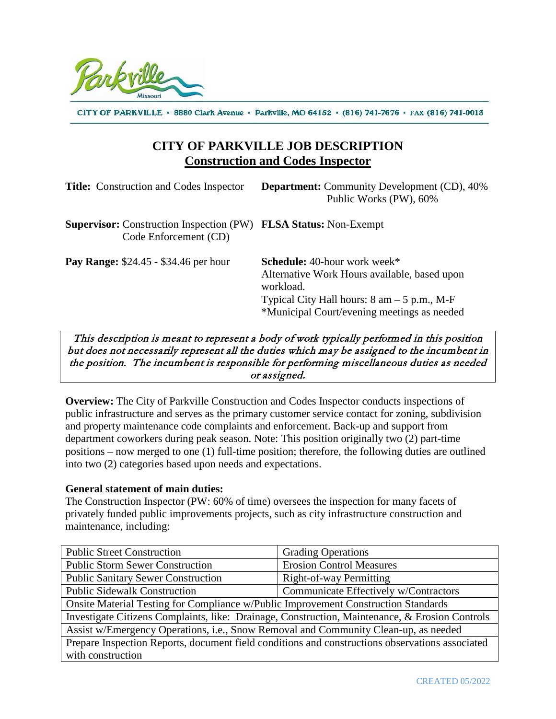

CITY OF PARKVILLE · 8880 Clark Avenue · Parkville, MO 64152 · (816) 741-7676 · FAX (816) 741-0013

## **CITY OF PARKVILLE JOB DESCRIPTION Construction and Codes Inspector**

| <b>Title:</b> Construction and Codes Inspector                                                          | <b>Department:</b> Community Development (CD), 40%<br>Public Works (PW), 60%                                                                                                                                            |
|---------------------------------------------------------------------------------------------------------|-------------------------------------------------------------------------------------------------------------------------------------------------------------------------------------------------------------------------|
| <b>Supervisor:</b> Construction Inspection (PW) <b>FLSA Status:</b> Non-Exempt<br>Code Enforcement (CD) |                                                                                                                                                                                                                         |
| <b>Pay Range:</b> \$24.45 - \$34.46 per hour                                                            | <b>Schedule:</b> 40-hour work week*<br>Alternative Work Hours available, based upon<br>workload.<br>Typical City Hall hours: $8 \text{ am} - 5 \text{ p.m.}, M\text{-F}$<br>*Municipal Court/evening meetings as needed |

This description is meant to represent a body of work typically performed in this position but does not necessarily represent all the duties which may be assigned to the incumbent in the position. The incumbent is responsible for performing miscellaneous duties as needed or assigned.

**Overview:** The City of Parkville Construction and Codes Inspector conducts inspections of public infrastructure and serves as the primary customer service contact for zoning, subdivision and property maintenance code complaints and enforcement. Back-up and support from department coworkers during peak season. Note: This position originally two (2) part-time positions – now merged to one (1) full-time position; therefore, the following duties are outlined into two (2) categories based upon needs and expectations.

#### **General statement of main duties:**

The Construction Inspector (PW: 60% of time) oversees the inspection for many facets of privately funded public improvements projects, such as city infrastructure construction and maintenance, including:

| <b>Public Street Construction</b>                                                               | <b>Grading Operations</b>             |  |
|-------------------------------------------------------------------------------------------------|---------------------------------------|--|
| <b>Public Storm Sewer Construction</b>                                                          | <b>Erosion Control Measures</b>       |  |
| <b>Public Sanitary Sewer Construction</b>                                                       | Right-of-way Permitting               |  |
| <b>Public Sidewalk Construction</b>                                                             | Communicate Effectively w/Contractors |  |
| Onsite Material Testing for Compliance w/Public Improvement Construction Standards              |                                       |  |
| Investigate Citizens Complaints, like: Drainage, Construction, Maintenance, & Erosion Controls  |                                       |  |
| Assist w/Emergency Operations, i.e., Snow Removal and Community Clean-up, as needed             |                                       |  |
| Prepare Inspection Reports, document field conditions and constructions observations associated |                                       |  |
| with construction                                                                               |                                       |  |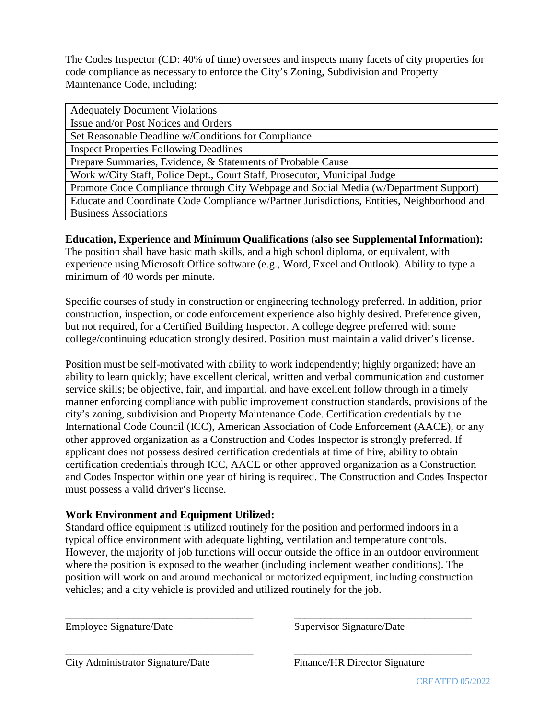The Codes Inspector (CD: 40% of time) oversees and inspects many facets of city properties for code compliance as necessary to enforce the City's Zoning, Subdivision and Property Maintenance Code, including:

| <b>Adequately Document Violations</b>                                                      |  |
|--------------------------------------------------------------------------------------------|--|
| Issue and/or Post Notices and Orders                                                       |  |
| Set Reasonable Deadline w/Conditions for Compliance                                        |  |
| <b>Inspect Properties Following Deadlines</b>                                              |  |
| Prepare Summaries, Evidence, & Statements of Probable Cause                                |  |
| Work w/City Staff, Police Dept., Court Staff, Prosecutor, Municipal Judge                  |  |
| Promote Code Compliance through City Webpage and Social Media (w/Department Support)       |  |
| Educate and Coordinate Code Compliance w/Partner Jurisdictions, Entities, Neighborhood and |  |
| <b>Business Associations</b>                                                               |  |

### **Education, Experience and Minimum Qualifications (also see Supplemental Information):**

The position shall have basic math skills, and a high school diploma, or equivalent, with experience using Microsoft Office software (e.g., Word, Excel and Outlook). Ability to type a minimum of 40 words per minute.

Specific courses of study in construction or engineering technology preferred. In addition, prior construction, inspection, or code enforcement experience also highly desired. Preference given, but not required, for a Certified Building Inspector. A college degree preferred with some college/continuing education strongly desired. Position must maintain a valid driver's license.

Position must be self-motivated with ability to work independently; highly organized; have an ability to learn quickly; have excellent clerical, written and verbal communication and customer service skills; be objective, fair, and impartial, and have excellent follow through in a timely manner enforcing compliance with public improvement construction standards, provisions of the city's zoning, subdivision and Property Maintenance Code. Certification credentials by the International Code Council (ICC), American Association of Code Enforcement (AACE), or any other approved organization as a Construction and Codes Inspector is strongly preferred. If applicant does not possess desired certification credentials at time of hire, ability to obtain certification credentials through ICC, AACE or other approved organization as a Construction and Codes Inspector within one year of hiring is required. The Construction and Codes Inspector must possess a valid driver's license.

### **Work Environment and Equipment Utilized:**

Standard office equipment is utilized routinely for the position and performed indoors in a typical office environment with adequate lighting, ventilation and temperature controls. However, the majority of job functions will occur outside the office in an outdoor environment where the position is exposed to the weather (including inclement weather conditions). The position will work on and around mechanical or motorized equipment, including construction vehicles; and a city vehicle is provided and utilized routinely for the job.

\_\_\_\_\_\_\_\_\_\_\_\_\_\_\_\_\_\_\_\_\_\_\_\_\_\_\_\_\_\_\_\_\_\_\_\_ \_\_\_\_\_\_\_\_\_\_\_\_\_\_\_\_\_\_\_\_\_\_\_\_\_\_\_\_\_\_\_\_\_\_

\_\_\_\_\_\_\_\_\_\_\_\_\_\_\_\_\_\_\_\_\_\_\_\_\_\_\_\_\_\_\_\_\_\_\_\_ \_\_\_\_\_\_\_\_\_\_\_\_\_\_\_\_\_\_\_\_\_\_\_\_\_\_\_\_\_\_\_\_\_\_

Employee Signature/Date Supervisor Signature/Date Supervisor Signature/Date

City Administrator Signature/Date Finance/HR Director Signature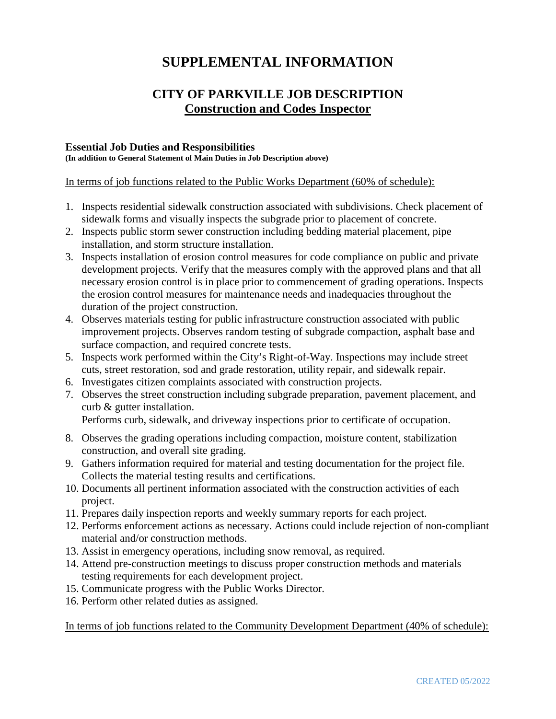# **SUPPLEMENTAL INFORMATION**

## **CITY OF PARKVILLE JOB DESCRIPTION Construction and Codes Inspector**

### **Essential Job Duties and Responsibilities**

**(In addition to General Statement of Main Duties in Job Description above)**

In terms of job functions related to the Public Works Department (60% of schedule):

- 1. Inspects residential sidewalk construction associated with subdivisions. Check placement of sidewalk forms and visually inspects the subgrade prior to placement of concrete.
- 2. Inspects public storm sewer construction including bedding material placement, pipe installation, and storm structure installation.
- 3. Inspects installation of erosion control measures for code compliance on public and private development projects. Verify that the measures comply with the approved plans and that all necessary erosion control is in place prior to commencement of grading operations. Inspects the erosion control measures for maintenance needs and inadequacies throughout the duration of the project construction.
- 4. Observes materials testing for public infrastructure construction associated with public improvement projects. Observes random testing of subgrade compaction, asphalt base and surface compaction, and required concrete tests.
- 5. Inspects work performed within the City's Right-of-Way. Inspections may include street cuts, street restoration, sod and grade restoration, utility repair, and sidewalk repair.
- 6. Investigates citizen complaints associated with construction projects.
- 7. Observes the street construction including subgrade preparation, pavement placement, and curb & gutter installation.

Performs curb, sidewalk, and driveway inspections prior to certificate of occupation.

- 8. Observes the grading operations including compaction, moisture content, stabilization construction, and overall site grading.
- 9. Gathers information required for material and testing documentation for the project file. Collects the material testing results and certifications.
- 10. Documents all pertinent information associated with the construction activities of each project.
- 11. Prepares daily inspection reports and weekly summary reports for each project.
- 12. Performs enforcement actions as necessary. Actions could include rejection of non-compliant material and/or construction methods.
- 13. Assist in emergency operations, including snow removal, as required.
- 14. Attend pre-construction meetings to discuss proper construction methods and materials testing requirements for each development project.
- 15. Communicate progress with the Public Works Director.
- 16. Perform other related duties as assigned.

In terms of job functions related to the Community Development Department (40% of schedule):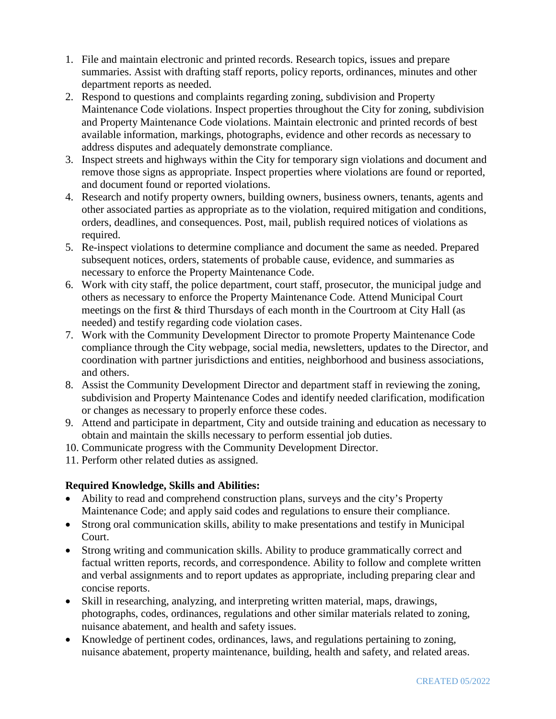- 1. File and maintain electronic and printed records. Research topics, issues and prepare summaries. Assist with drafting staff reports, policy reports, ordinances, minutes and other department reports as needed.
- 2. Respond to questions and complaints regarding zoning, subdivision and Property Maintenance Code violations. Inspect properties throughout the City for zoning, subdivision and Property Maintenance Code violations. Maintain electronic and printed records of best available information, markings, photographs, evidence and other records as necessary to address disputes and adequately demonstrate compliance.
- 3. Inspect streets and highways within the City for temporary sign violations and document and remove those signs as appropriate. Inspect properties where violations are found or reported, and document found or reported violations.
- 4. Research and notify property owners, building owners, business owners, tenants, agents and other associated parties as appropriate as to the violation, required mitigation and conditions, orders, deadlines, and consequences. Post, mail, publish required notices of violations as required.
- 5. Re-inspect violations to determine compliance and document the same as needed. Prepared subsequent notices, orders, statements of probable cause, evidence, and summaries as necessary to enforce the Property Maintenance Code.
- 6. Work with city staff, the police department, court staff, prosecutor, the municipal judge and others as necessary to enforce the Property Maintenance Code. Attend Municipal Court meetings on the first & third Thursdays of each month in the Courtroom at City Hall (as needed) and testify regarding code violation cases.
- 7. Work with the Community Development Director to promote Property Maintenance Code compliance through the City webpage, social media, newsletters, updates to the Director, and coordination with partner jurisdictions and entities, neighborhood and business associations, and others.
- 8. Assist the Community Development Director and department staff in reviewing the zoning, subdivision and Property Maintenance Codes and identify needed clarification, modification or changes as necessary to properly enforce these codes.
- 9. Attend and participate in department, City and outside training and education as necessary to obtain and maintain the skills necessary to perform essential job duties.
- 10. Communicate progress with the Community Development Director.
- 11. Perform other related duties as assigned.

### **Required Knowledge, Skills and Abilities:**

- Ability to read and comprehend construction plans, surveys and the city's Property Maintenance Code; and apply said codes and regulations to ensure their compliance.
- Strong oral communication skills, ability to make presentations and testify in Municipal Court.
- Strong writing and communication skills. Ability to produce grammatically correct and factual written reports, records, and correspondence. Ability to follow and complete written and verbal assignments and to report updates as appropriate, including preparing clear and concise reports.
- Skill in researching, analyzing, and interpreting written material, maps, drawings, photographs, codes, ordinances, regulations and other similar materials related to zoning, nuisance abatement, and health and safety issues.
- Knowledge of pertinent codes, ordinances, laws, and regulations pertaining to zoning, nuisance abatement, property maintenance, building, health and safety, and related areas.